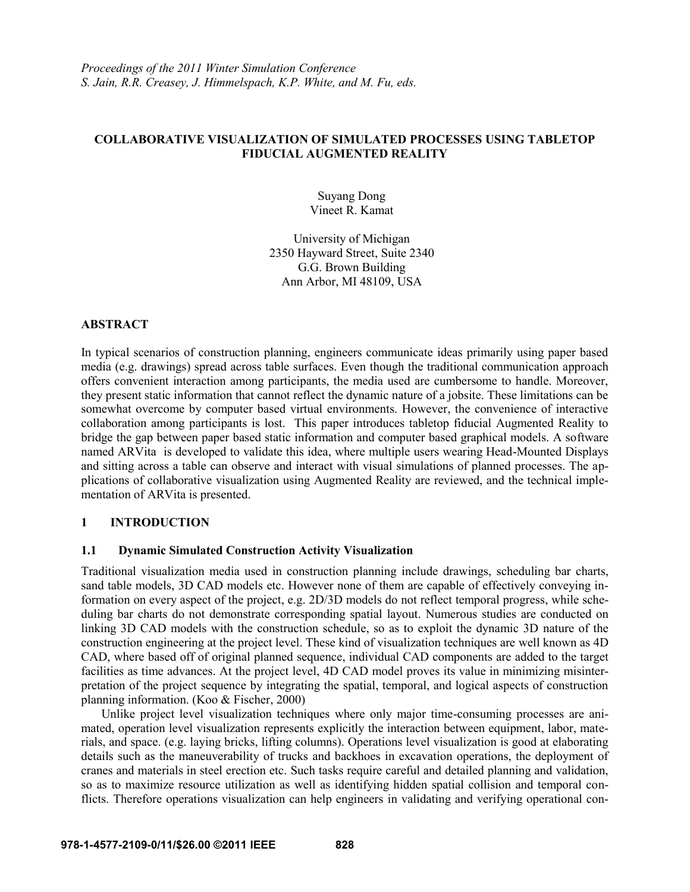# **COLLABORATIVE VISUALIZATION OF SIMULATED PROCESSES USING TABLETOP FIDUCIAL AUGMENTED REALITY**

Suyang Dong Vineet R. Kamat

University of Michigan 2350 Hayward Street, Suite 2340 G.G. Brown Building Ann Arbor, MI 48109, USA

#### **ABSTRACT**

In typical scenarios of construction planning, engineers communicate ideas primarily using paper based media (e.g. drawings) spread across table surfaces. Even though the traditional communication approach offers convenient interaction among participants, the media used are cumbersome to handle. Moreover, they present static information that cannot reflect the dynamic nature of a jobsite. These limitations can be somewhat overcome by computer based virtual environments. However, the convenience of interactive collaboration among participants is lost. This paper introduces tabletop fiducial Augmented Reality to bridge the gap between paper based static information and computer based graphical models. A software named ARVita is developed to validate this idea, where multiple users wearing Head-Mounted Displays and sitting across a table can observe and interact with visual simulations of planned processes. The applications of collaborative visualization using Augmented Reality are reviewed, and the technical implementation of ARVita is presented.

## **1 INTRODUCTION**

#### **1.1 Dynamic Simulated Construction Activity Visualization**

Traditional visualization media used in construction planning include drawings, scheduling bar charts, sand table models, 3D CAD models etc. However none of them are capable of effectively conveying information on every aspect of the project, e.g. 2D/3D models do not reflect temporal progress, while scheduling bar charts do not demonstrate corresponding spatial layout. Numerous studies are conducted on linking 3D CAD models with the construction schedule, so as to exploit the dynamic 3D nature of the construction engineering at the project level. These kind of visualization techniques are well known as 4D CAD, where based off of original planned sequence, individual CAD components are added to the target facilities as time advances. At the project level, 4D CAD model proves its value in minimizing misinterpretation of the project sequence by integrating the spatial, temporal, and logical aspects of construction planning information. (Koo & Fischer, 2000)

Unlike project level visualization techniques where only major time-consuming processes are animated, operation level visualization represents explicitly the interaction between equipment, labor, materials, and space. (e.g. laying bricks, lifting columns). Operations level visualization is good at elaborating details such as the maneuverability of trucks and backhoes in excavation operations, the deployment of cranes and materials in steel erection etc. Such tasks require careful and detailed planning and validation, so as to maximize resource utilization as well as identifying hidden spatial collision and temporal conflicts. Therefore operations visualization can help engineers in validating and verifying operational con-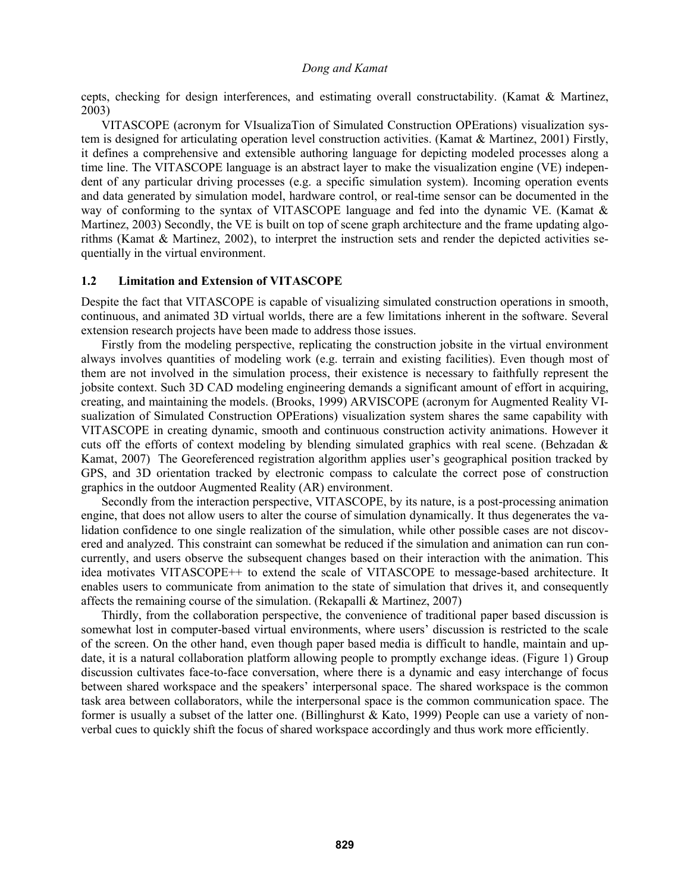cepts, checking for design interferences, and estimating overall constructability. (Kamat & Martinez, 2003)

VITASCOPE (acronym for VIsualizaTion of Simulated Construction OPErations) visualization system is designed for articulating operation level construction activities. (Kamat & Martinez, 2001) Firstly, it defines a comprehensive and extensible authoring language for depicting modeled processes along a time line. The VITASCOPE language is an abstract layer to make the visualization engine (VE) independent of any particular driving processes (e.g. a specific simulation system). Incoming operation events and data generated by simulation model, hardware control, or real-time sensor can be documented in the way of conforming to the syntax of VITASCOPE language and fed into the dynamic VE. (Kamat & Martinez, 2003) Secondly, the VE is built on top of scene graph architecture and the frame updating algorithms (Kamat & Martinez, 2002), to interpret the instruction sets and render the depicted activities sequentially in the virtual environment.

## **1.2 Limitation and Extension of VITASCOPE**

Despite the fact that VITASCOPE is capable of visualizing simulated construction operations in smooth, continuous, and animated 3D virtual worlds, there are a few limitations inherent in the software. Several extension research projects have been made to address those issues.

Firstly from the modeling perspective, replicating the construction jobsite in the virtual environment always involves quantities of modeling work (e.g. terrain and existing facilities). Even though most of them are not involved in the simulation process, their existence is necessary to faithfully represent the jobsite context. Such 3D CAD modeling engineering demands a significant amount of effort in acquiring, creating, and maintaining the models. (Brooks, 1999) ARVISCOPE (acronym for Augmented Reality VIsualization of Simulated Construction OPErations) visualization system shares the same capability with VITASCOPE in creating dynamic, smooth and continuous construction activity animations. However it cuts off the efforts of context modeling by blending simulated graphics with real scene. (Behzadan & Kamat, 2007) The Georeferenced registration algorithm applies user"s geographical position tracked by GPS, and 3D orientation tracked by electronic compass to calculate the correct pose of construction graphics in the outdoor Augmented Reality (AR) environment.

Secondly from the interaction perspective, VITASCOPE, by its nature, is a post-processing animation engine, that does not allow users to alter the course of simulation dynamically. It thus degenerates the validation confidence to one single realization of the simulation, while other possible cases are not discovered and analyzed. This constraint can somewhat be reduced if the simulation and animation can run concurrently, and users observe the subsequent changes based on their interaction with the animation. This idea motivates VITASCOPE++ to extend the scale of VITASCOPE to message-based architecture. It enables users to communicate from animation to the state of simulation that drives it, and consequently affects the remaining course of the simulation. (Rekapalli & Martinez, 2007)

Thirdly, from the collaboration perspective, the convenience of traditional paper based discussion is somewhat lost in computer-based virtual environments, where users" discussion is restricted to the scale of the screen. On the other hand, even though paper based media is difficult to handle, maintain and update, it is a natural collaboration platform allowing people to promptly exchange ideas. (Figure 1) Group discussion cultivates face-to-face conversation, where there is a dynamic and easy interchange of focus between shared workspace and the speakers" interpersonal space. The shared workspace is the common task area between collaborators, while the interpersonal space is the common communication space. The former is usually a subset of the latter one. (Billinghurst & Kato, 1999) People can use a variety of nonverbal cues to quickly shift the focus of shared workspace accordingly and thus work more efficiently.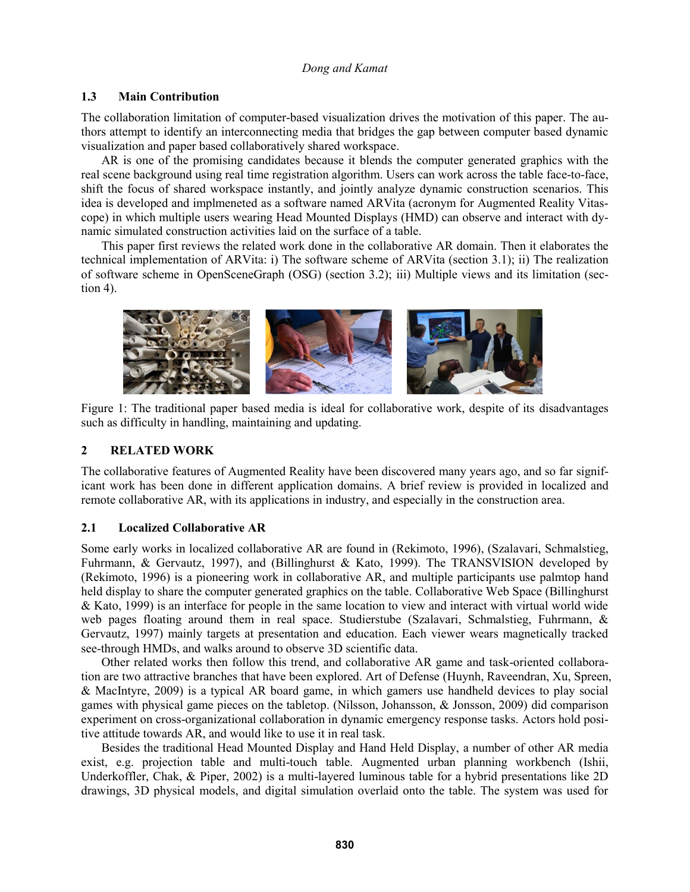# **1.3 Main Contribution**

The collaboration limitation of computer-based visualization drives the motivation of this paper. The authors attempt to identify an interconnecting media that bridges the gap between computer based dynamic visualization and paper based collaboratively shared workspace.

AR is one of the promising candidates because it blends the computer generated graphics with the real scene background using real time registration algorithm. Users can work across the table face-to-face, shift the focus of shared workspace instantly, and jointly analyze dynamic construction scenarios. This idea is developed and implmeneted as a software named ARVita (acronym for Augmented Reality Vitascope) in which multiple users wearing Head Mounted Displays (HMD) can observe and interact with dynamic simulated construction activities laid on the surface of a table.

This paper first reviews the related work done in the collaborative AR domain. Then it elaborates the technical implementation of ARVita: i) The software scheme of ARVita (section 3.1); ii) The realization of software scheme in OpenSceneGraph (OSG) (section 3.2); iii) Multiple views and its limitation (sec $tion 4)$ .



Figure 1: The traditional paper based media is ideal for collaborative work, despite of its disadvantages such as difficulty in handling, maintaining and updating.

## **2 RELATED WORK**

The collaborative features of Augmented Reality have been discovered many years ago, and so far significant work has been done in different application domains. A brief review is provided in localized and remote collaborative AR, with its applications in industry, and especially in the construction area.

## **2.1 Localized Collaborative AR**

Some early works in localized collaborative AR are found in (Rekimoto, 1996), (Szalavari, Schmalstieg, Fuhrmann, & Gervautz, 1997), and (Billinghurst & Kato, 1999). The TRANSVISION developed by (Rekimoto, 1996) is a pioneering work in collaborative AR, and multiple participants use palmtop hand held display to share the computer generated graphics on the table. Collaborative Web Space (Billinghurst & Kato, 1999) is an interface for people in the same location to view and interact with virtual world wide web pages floating around them in real space. Studierstube (Szalavari, Schmalstieg, Fuhrmann, & Gervautz, 1997) mainly targets at presentation and education. Each viewer wears magnetically tracked see-through HMDs, and walks around to observe 3D scientific data.

Other related works then follow this trend, and collaborative AR game and task-oriented collaboration are two attractive branches that have been explored. Art of Defense (Huynh, Raveendran, Xu, Spreen, & MacIntyre, 2009) is a typical AR board game, in which gamers use handheld devices to play social games with physical game pieces on the tabletop. (Nilsson, Johansson, & Jonsson, 2009) did comparison experiment on cross-organizational collaboration in dynamic emergency response tasks. Actors hold positive attitude towards AR, and would like to use it in real task.

Besides the traditional Head Mounted Display and Hand Held Display, a number of other AR media exist, e.g. projection table and multi-touch table. Augmented urban planning workbench (Ishii, Underkoffler, Chak, & Piper, 2002) is a multi-layered luminous table for a hybrid presentations like 2D drawings, 3D physical models, and digital simulation overlaid onto the table. The system was used for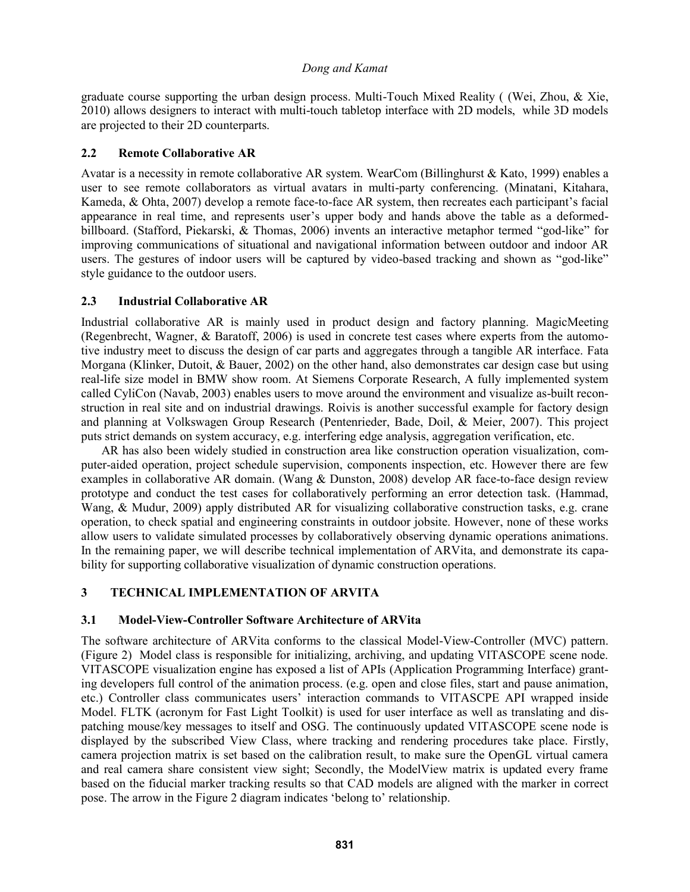graduate course supporting the urban design process. Multi-Touch Mixed Reality ( (Wei, Zhou, & Xie, 2010) allows designers to interact with multi-touch tabletop interface with 2D models, while 3D models are projected to their 2D counterparts.

## **2.2 Remote Collaborative AR**

Avatar is a necessity in remote collaborative AR system. WearCom (Billinghurst & Kato, 1999) enables a user to see remote collaborators as virtual avatars in multi-party conferencing. (Minatani, Kitahara, Kameda, & Ohta, 2007) develop a remote face-to-face AR system, then recreates each participant's facial appearance in real time, and represents user"s upper body and hands above the table as a deformedbillboard. (Stafford, Piekarski, & Thomas, 2006) invents an interactive metaphor termed "god-like" for improving communications of situational and navigational information between outdoor and indoor AR users. The gestures of indoor users will be captured by video-based tracking and shown as "god-like" style guidance to the outdoor users.

# **2.3 Industrial Collaborative AR**

Industrial collaborative AR is mainly used in product design and factory planning. MagicMeeting (Regenbrecht, Wagner, & Baratoff, 2006) is used in concrete test cases where experts from the automotive industry meet to discuss the design of car parts and aggregates through a tangible AR interface. Fata Morgana (Klinker, Dutoit, & Bauer, 2002) on the other hand, also demonstrates car design case but using real-life size model in BMW show room. At Siemens Corporate Research, A fully implemented system called CyliCon (Navab, 2003) enables users to move around the environment and visualize as-built reconstruction in real site and on industrial drawings. Roivis is another successful example for factory design and planning at Volkswagen Group Research (Pentenrieder, Bade, Doil, & Meier, 2007). This project puts strict demands on system accuracy, e.g. interfering edge analysis, aggregation verification, etc.

AR has also been widely studied in construction area like construction operation visualization, computer-aided operation, project schedule supervision, components inspection, etc. However there are few examples in collaborative AR domain. (Wang & Dunston, 2008) develop AR face-to-face design review prototype and conduct the test cases for collaboratively performing an error detection task. (Hammad, Wang, & Mudur, 2009) apply distributed AR for visualizing collaborative construction tasks, e.g. crane operation, to check spatial and engineering constraints in outdoor jobsite. However, none of these works allow users to validate simulated processes by collaboratively observing dynamic operations animations. In the remaining paper, we will describe technical implementation of ARVita, and demonstrate its capability for supporting collaborative visualization of dynamic construction operations.

# **3 TECHNICAL IMPLEMENTATION OF ARVITA**

## **3.1 Model-View-Controller Software Architecture of ARVita**

The software architecture of ARVita conforms to the classical Model-View-Controller (MVC) pattern. (Figure 2) Model class is responsible for initializing, archiving, and updating VITASCOPE scene node. VITASCOPE visualization engine has exposed a list of APIs (Application Programming Interface) granting developers full control of the animation process. (e.g. open and close files, start and pause animation, etc.) Controller class communicates users" interaction commands to VITASCPE API wrapped inside Model. FLTK (acronym for Fast Light Toolkit) is used for user interface as well as translating and dispatching mouse/key messages to itself and OSG. The continuously updated VITASCOPE scene node is displayed by the subscribed View Class, where tracking and rendering procedures take place. Firstly, camera projection matrix is set based on the calibration result, to make sure the OpenGL virtual camera and real camera share consistent view sight; Secondly, the ModelView matrix is updated every frame based on the fiducial marker tracking results so that CAD models are aligned with the marker in correct pose. The arrow in the Figure 2 diagram indicates 'belong to' relationship.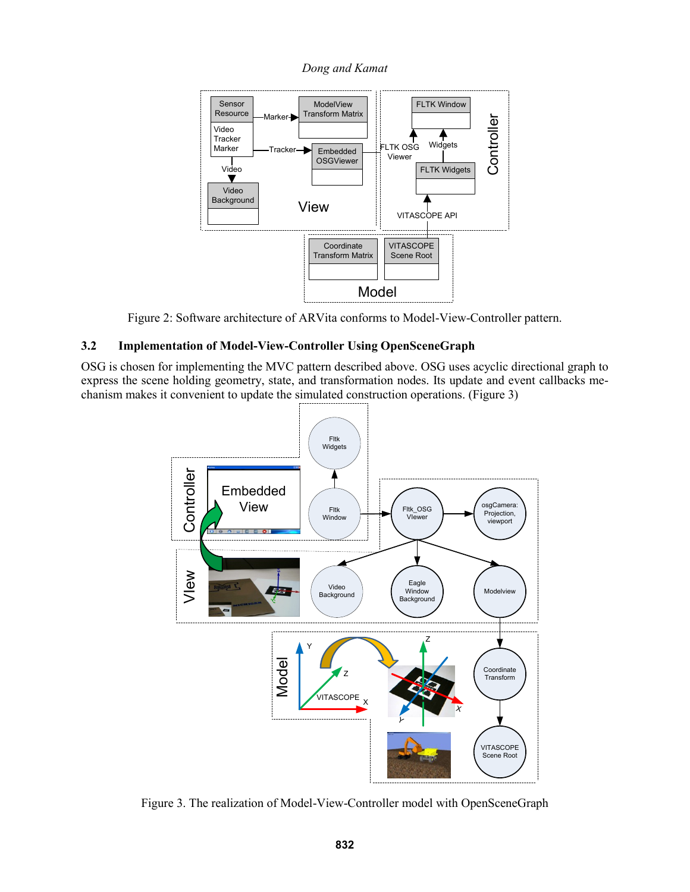

Figure 2: Software architecture of ARVita conforms to Model-View-Controller pattern.

# **3.2 Implementation of Model-View-Controller Using OpenSceneGraph**

OSG is chosen for implementing the MVC pattern described above. OSG uses acyclic directional graph to express the scene holding geometry, state, and transformation nodes. Its update and event callbacks mechanism makes it convenient to update the simulated construction operations. (Figure 3)



Figure 3. The realization of Model-View-Controller model with OpenSceneGraph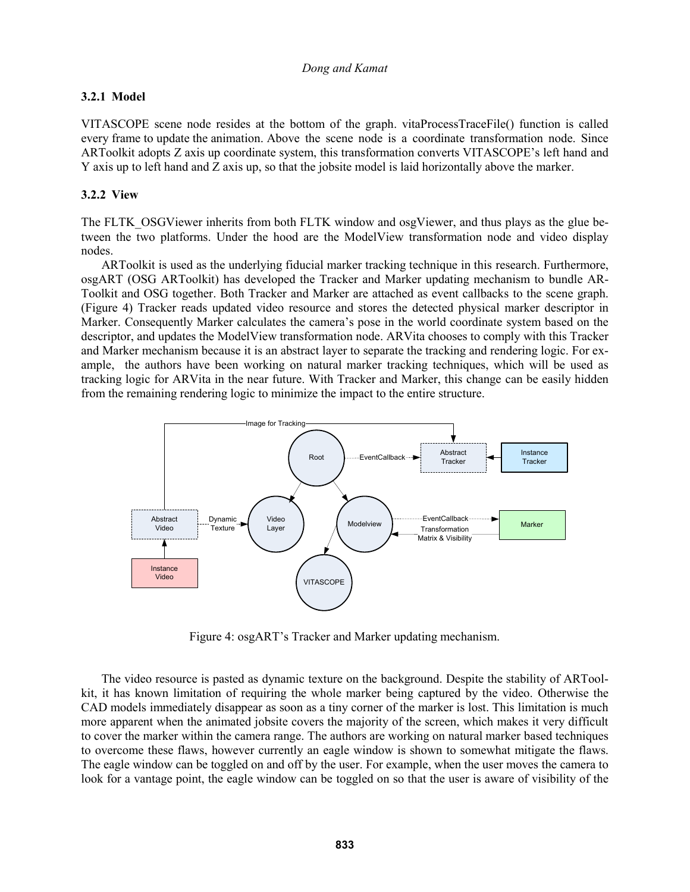# **3.2.1 Model**

VITASCOPE scene node resides at the bottom of the graph. vitaProcessTraceFile() function is called every frame to update the animation. Above the scene node is a coordinate transformation node. Since ARToolkit adopts Z axis up coordinate system, this transformation converts VITASCOPE"s left hand and Y axis up to left hand and Z axis up, so that the jobsite model is laid horizontally above the marker.

# **3.2.2 View**

The FLTK OSGViewer inherits from both FLTK window and osgViewer, and thus plays as the glue between the two platforms. Under the hood are the ModelView transformation node and video display nodes.

ARToolkit is used as the underlying fiducial marker tracking technique in this research. Furthermore, osgART (OSG ARToolkit) has developed the Tracker and Marker updating mechanism to bundle AR-Toolkit and OSG together. Both Tracker and Marker are attached as event callbacks to the scene graph. (Figure 4) Tracker reads updated video resource and stores the detected physical marker descriptor in Marker. Consequently Marker calculates the camera"s pose in the world coordinate system based on the descriptor, and updates the ModelView transformation node. ARVita chooses to comply with this Tracker and Marker mechanism because it is an abstract layer to separate the tracking and rendering logic. For example, the authors have been working on natural marker tracking techniques, which will be used as tracking logic for ARVita in the near future. With Tracker and Marker, this change can be easily hidden from the remaining rendering logic to minimize the impact to the entire structure.



Figure 4: osgART"s Tracker and Marker updating mechanism.

The video resource is pasted as dynamic texture on the background. Despite the stability of ARToolkit, it has known limitation of requiring the whole marker being captured by the video. Otherwise the CAD models immediately disappear as soon as a tiny corner of the marker is lost. This limitation is much more apparent when the animated jobsite covers the majority of the screen, which makes it very difficult to cover the marker within the camera range. The authors are working on natural marker based techniques to overcome these flaws, however currently an eagle window is shown to somewhat mitigate the flaws. The eagle window can be toggled on and off by the user. For example, when the user moves the camera to look for a vantage point, the eagle window can be toggled on so that the user is aware of visibility of the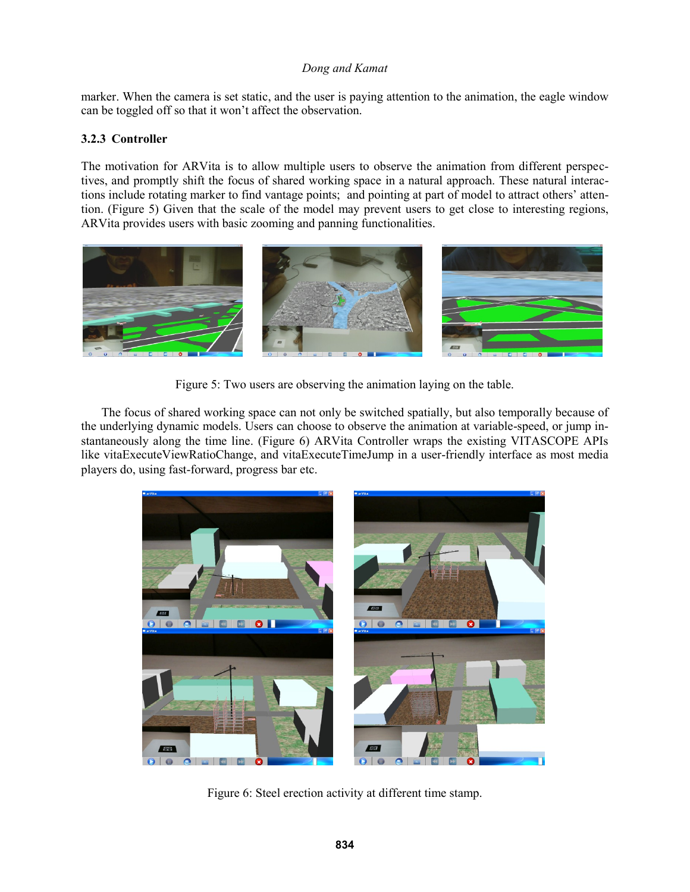marker. When the camera is set static, and the user is paying attention to the animation, the eagle window can be toggled off so that it won"t affect the observation.

# **3.2.3 Controller**

The motivation for ARVita is to allow multiple users to observe the animation from different perspectives, and promptly shift the focus of shared working space in a natural approach. These natural interactions include rotating marker to find vantage points; and pointing at part of model to attract others" attention. (Figure 5) Given that the scale of the model may prevent users to get close to interesting regions, ARVita provides users with basic zooming and panning functionalities.



Figure 5: Two users are observing the animation laying on the table.

The focus of shared working space can not only be switched spatially, but also temporally because of the underlying dynamic models. Users can choose to observe the animation at variable-speed, or jump instantaneously along the time line. (Figure 6) ARVita Controller wraps the existing VITASCOPE APIs like vitaExecuteViewRatioChange, and vitaExecuteTimeJump in a user-friendly interface as most media players do, using fast-forward, progress bar etc.



Figure 6: Steel erection activity at different time stamp.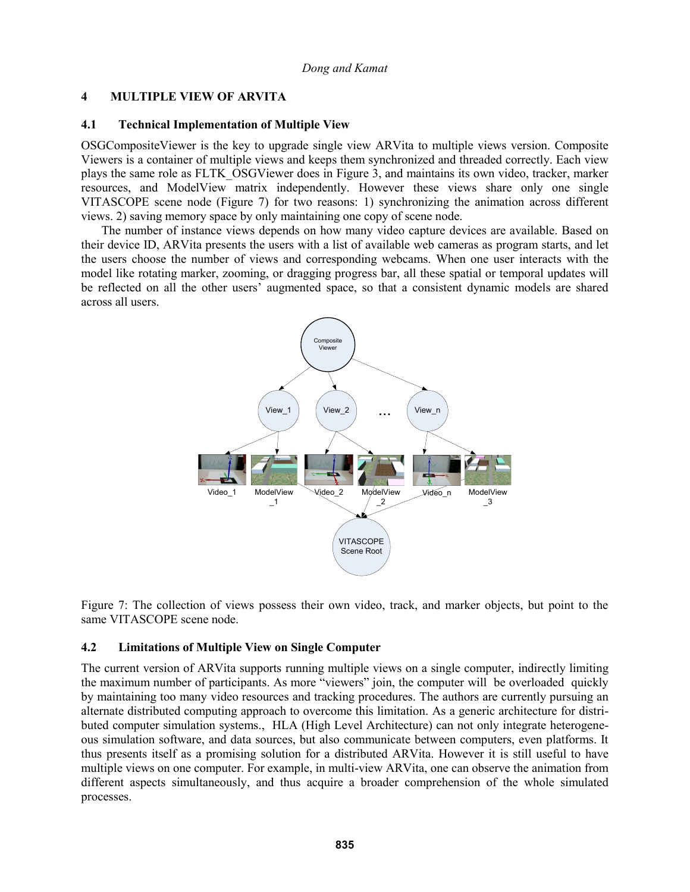# **4 MULTIPLE VIEW OF ARVITA**

# **4.1 Technical Implementation of Multiple View**

OSGCompositeViewer is the key to upgrade single view ARVita to multiple views version. Composite Viewers is a container of multiple views and keeps them synchronized and threaded correctly. Each view plays the same role as FLTK\_OSGViewer does in Figure 3, and maintains its own video, tracker, marker resources, and ModelView matrix independently. However these views share only one single VITASCOPE scene node (Figure 7) for two reasons: 1) synchronizing the animation across different views. 2) saving memory space by only maintaining one copy of scene node.

The number of instance views depends on how many video capture devices are available. Based on their device ID, ARVita presents the users with a list of available web cameras as program starts, and let the users choose the number of views and corresponding webcams. When one user interacts with the model like rotating marker, zooming, or dragging progress bar, all these spatial or temporal updates will be reflected on all the other users" augmented space, so that a consistent dynamic models are shared across all users.



Figure 7: The collection of views possess their own video, track, and marker objects, but point to the same VITASCOPE scene node.

# **4.2 Limitations of Multiple View on Single Computer**

The current version of ARVita supports running multiple views on a single computer, indirectly limiting the maximum number of participants. As more "viewers" join, the computer will be overloaded quickly by maintaining too many video resources and tracking procedures. The authors are currently pursuing an alternate distributed computing approach to overcome this limitation. As a generic architecture for distributed computer simulation systems., HLA (High Level Architecture) can not only integrate heterogeneous simulation software, and data sources, but also communicate between computers, even platforms. It thus presents itself as a promising solution for a distributed ARVita. However it is still useful to have multiple views on one computer. For example, in multi-view ARVita, one can observe the animation from different aspects simultaneously, and thus acquire a broader comprehension of the whole simulated processes.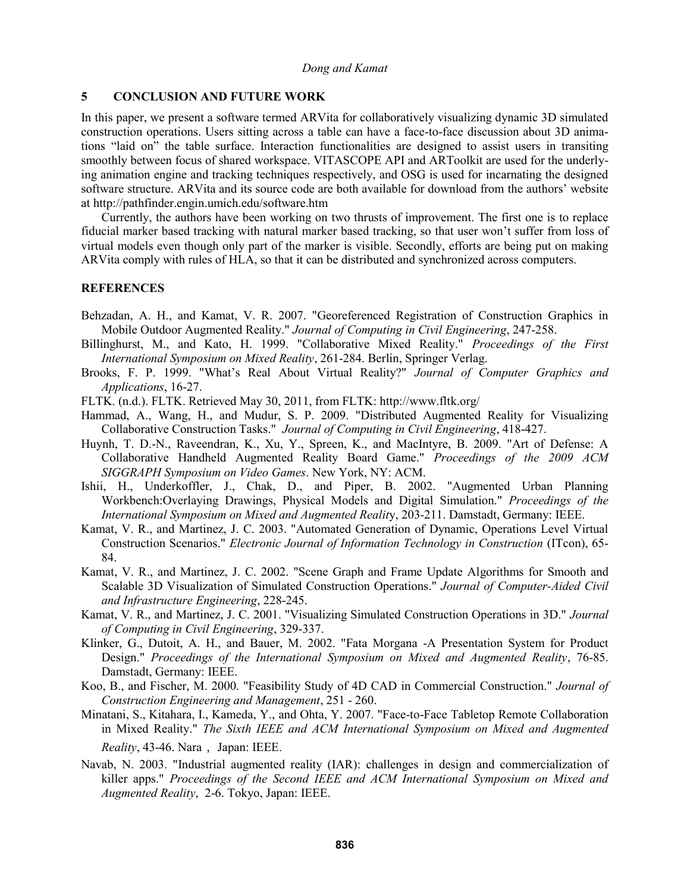### **5 CONCLUSION AND FUTURE WORK**

In this paper, we present a software termed ARVita for collaboratively visualizing dynamic 3D simulated construction operations. Users sitting across a table can have a face-to-face discussion about 3D animations "laid on" the table surface. Interaction functionalities are designed to assist users in transiting smoothly between focus of shared workspace. VITASCOPE API and ARToolkit are used for the underlying animation engine and tracking techniques respectively, and OSG is used for incarnating the designed software structure. ARVita and its source code are both available for download from the authors' website at http://pathfinder.engin.umich.edu/software.htm

Currently, the authors have been working on two thrusts of improvement. The first one is to replace fiducial marker based tracking with natural marker based tracking, so that user won"t suffer from loss of virtual models even though only part of the marker is visible. Secondly, efforts are being put on making ARVita comply with rules of HLA, so that it can be distributed and synchronized across computers.

#### **REFERENCES**

- Behzadan, A. H., and Kamat, V. R. 2007. "Georeferenced Registration of Construction Graphics in Mobile Outdoor Augmented Reality." *Journal of Computing in Civil Engineering*, 247-258.
- Billinghurst, M., and Kato, H. 1999. "Collaborative Mixed Reality." *Proceedings of the First International Symposium on Mixed Reality*, 261-284. Berlin, Springer Verlag.
- Brooks, F. P. 1999. "What"s Real About Virtual Reality?" *Journal of Computer Graphics and Applications*, 16-27.
- FLTK. (n.d.). FLTK. Retrieved May 30, 2011, from FLTK: http://www.fltk.org/
- Hammad, A., Wang, H., and Mudur, S. P. 2009. "Distributed Augmented Reality for Visualizing Collaborative Construction Tasks." *Journal of Computing in Civil Engineering*, 418-427.
- Huynh, T. D.-N., Raveendran, K., Xu, Y., Spreen, K., and MacIntyre, B. 2009. "Art of Defense: A Collaborative Handheld Augmented Reality Board Game." *Proceedings of the 2009 ACM SIGGRAPH Symposium on Video Games*. New York, NY: ACM.
- Ishii, H., Underkoffler, J., Chak, D., and Piper, B. 2002. "Augmented Urban Planning Workbench:Overlaying Drawings, Physical Models and Digital Simulation." *Proceedings of the International Symposium on Mixed and Augmented Realit*y, 203-211. Damstadt, Germany: IEEE.
- Kamat, V. R., and Martinez, J. C. 2003. "Automated Generation of Dynamic, Operations Level Virtual Construction Scenarios." *Electronic Journal of Information Technology in Construction* (ITcon), 65- 84.
- Kamat, V. R., and Martinez, J. C. 2002. "Scene Graph and Frame Update Algorithms for Smooth and Scalable 3D Visualization of Simulated Construction Operations." *Journal of Computer-Aided Civil and Infrastructure Engineering*, 228-245.
- Kamat, V. R., and Martinez, J. C. 2001. "Visualizing Simulated Construction Operations in 3D." *Journal of Computing in Civil Engineering*, 329-337.
- Klinker, G., Dutoit, A. H., and Bauer, M. 2002. "Fata Morgana -A Presentation System for Product Design." *Proceedings of the International Symposium on Mixed and Augmented Reality*, 76-85. Damstadt, Germany: IEEE.
- Koo, B., and Fischer, M. 2000. "Feasibility Study of 4D CAD in Commercial Construction." *Journal of Construction Engineering and Management*, 251 - 260.
- Minatani, S., Kitahara, I., Kameda, Y., and Ohta, Y. 2007. "Face-to-Face Tabletop Remote Collaboration in Mixed Reality." *The Sixth IEEE and ACM International Symposium on Mixed and Augmented Reality*, 43-46. Nara, Japan: IEEE.
- Navab, N. 2003. "Industrial augmented reality (IAR): challenges in design and commercialization of killer apps." *Proceedings of the Second IEEE and ACM International Symposium on Mixed and Augmented Reality*, 2-6. Tokyo, Japan: IEEE.